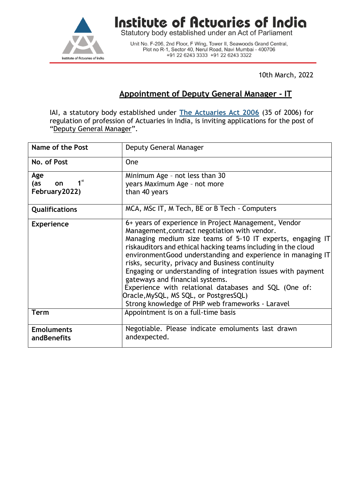

## **Institute of Actuaries of India**<br>Statutory body established under an Act of Parliament

Unit No. F-206, 2nd Floor, F Wing, Tower II, Seawoods Grand Central,<br>Plot no R-1, Sector 40, Nerul Road, Navi Mumbai - 400706 +91 22 6243 3333 +91 22 6243 3322

10th March, 2022

## **Appointment of Deputy General Manager - IT**

IAI, a statutory body established under **[The Actuaries Act 2006](http://www.actuariesindia.org/guidance/scanned%20GN.pdf)** (35 of 2006) for regulation of profession of Actuaries in India, is inviting applications for the post of "Deputy General Manager".

| <b>Name of the Post</b>      | Deputy General Manager                                                                                          |
|------------------------------|-----------------------------------------------------------------------------------------------------------------|
| No. of Post                  | One                                                                                                             |
| Age                          | Minimum Age - not less than 30                                                                                  |
| 1 <sup>st</sup><br>(as<br>on | years Maximum Age - not more                                                                                    |
| February 2022)               | than 40 years                                                                                                   |
| <b>Qualifications</b>        | MCA, MSc IT, M Tech, BE or B Tech - Computers                                                                   |
| <b>Experience</b>            | 6+ years of experience in Project Management, Vendor                                                            |
|                              | Management, contract negotiation with vendor.                                                                   |
|                              | Managing medium size teams of 5-10 IT experts, engaging IT                                                      |
|                              | riskauditors and ethical hacking teams including in the cloud                                                   |
|                              | environmentGood understanding and experience in managing IT<br>risks, security, privacy and Business continuity |
|                              | Engaging or understanding of integration issues with payment                                                    |
|                              | gateways and financial systems.                                                                                 |
|                              | Experience with relational databases and SQL (One of:                                                           |
|                              | Oracle, MySQL, MS SQL, or PostgresSQL)                                                                          |
|                              | Strong knowledge of PHP web frameworks - Laravel                                                                |
| <b>Term</b>                  | Appointment is on a full-time basis                                                                             |
| <b>Emoluments</b>            | Negotiable. Please indicate emoluments last drawn                                                               |
| andBenefits                  | andexpected.                                                                                                    |